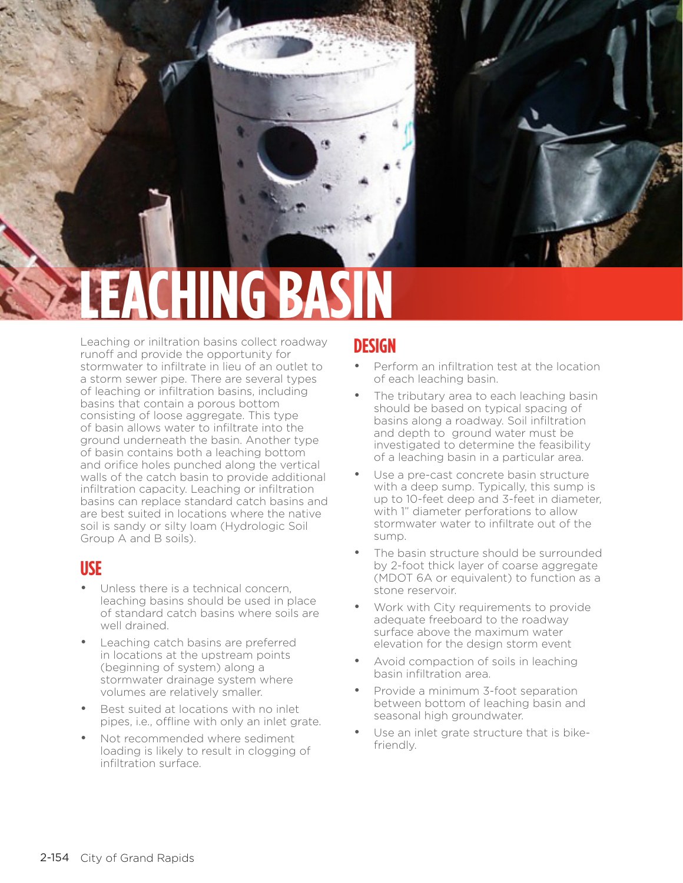# **CHING**

Leaching or iniltration basins collect roadway runoff and provide the opportunity for stormwater to infiltrate in lieu of an outlet to a storm sewer pipe. There are several types of leaching or infiltration basins, including basins that contain a porous bottom consisting of loose aggregate. This type of basin allows water to infiltrate into the ground underneath the basin. Another type of basin contains both a leaching bottom and orifice holes punched along the vertical walls of the catch basin to provide additional infiltration capacity. Leaching or infiltration basins can replace standard catch basins and are best suited in locations where the native soil is sandy or silty loam (Hydrologic Soil Group A and B soils).

#### **USE**

leaching basin

- Unless there is a technical concern. leaching basins should be used in place of standard catch basins where soils are well drained.
- Leaching catch basins are preferred in locations at the upstream points (beginning of system) along a stormwater drainage system where volumes are relatively smaller.
- Best suited at locations with no inlet pipes, i.e., offline with only an inlet grate.
- Not recommended where sediment loading is likely to result in clogging of infiltration surface.

### **DESIGN**

- Perform an infiltration test at the location of each leaching basin.
- The tributary area to each leaching basin should be based on typical spacing of basins along a roadway. Soil infiltration and depth to ground water must be investigated to determine the feasibility of a leaching basin in a particular area.
- Use a pre-cast concrete basin structure with a deep sump. Typically, this sump is up to 10-feet deep and 3-feet in diameter, with 1" diameter perforations to allow stormwater water to infiltrate out of the sump.
- The basin structure should be surrounded by 2-foot thick layer of coarse aggregate (MDOT 6A or equivalent) to function as a stone reservoir.
- Work with City requirements to provide adequate freeboard to the roadway surface above the maximum water elevation for the design storm event
- Avoid compaction of soils in leaching basin infiltration area.
- Provide a minimum 3-foot separation between bottom of leaching basin and seasonal high groundwater.
- Use an inlet grate structure that is bikefriendly.